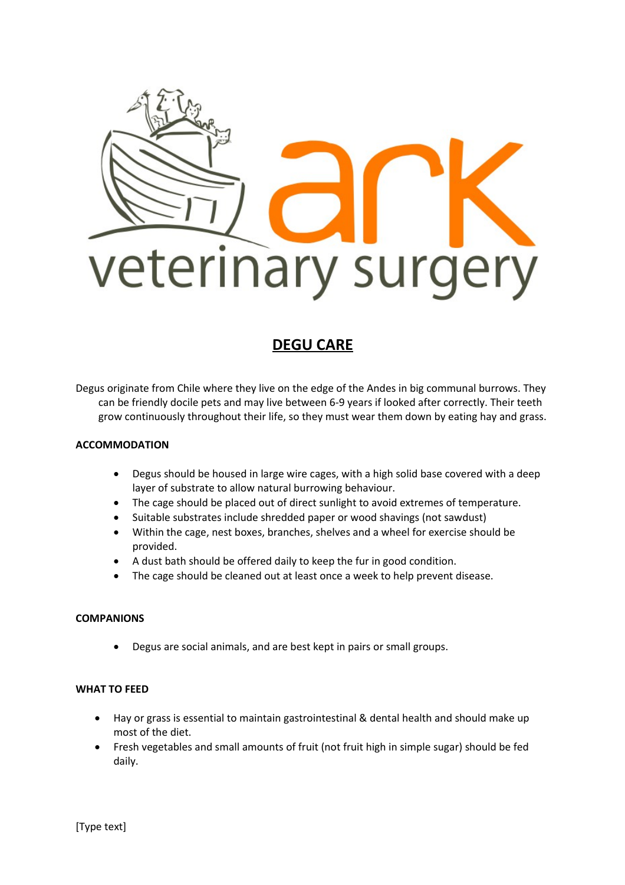

# **DEGU CARE**

Degus originate from Chile where they live on the edge of the Andes in big communal burrows. They can be friendly docile pets and may live between 6-9 years if looked after correctly. Their teeth grow continuously throughout their life, so they must wear them down by eating hay and grass.

## **ACCOMMODATION**

- Degus should be housed in large wire cages, with a high solid base covered with a deep layer of substrate to allow natural burrowing behaviour.
- The cage should be placed out of direct sunlight to avoid extremes of temperature.
- Suitable substrates include shredded paper or wood shavings (not sawdust)
- Within the cage, nest boxes, branches, shelves and a wheel for exercise should be provided.
- A dust bath should be offered daily to keep the fur in good condition.
- The cage should be cleaned out at least once a week to help prevent disease.

## **COMPANIONS**

Degus are social animals, and are best kept in pairs or small groups.

## **WHAT TO FEED**

- Hay or grass is essential to maintain gastrointestinal & dental health and should make up most of the diet.
- Fresh vegetables and small amounts of fruit (not fruit high in simple sugar) should be fed daily.